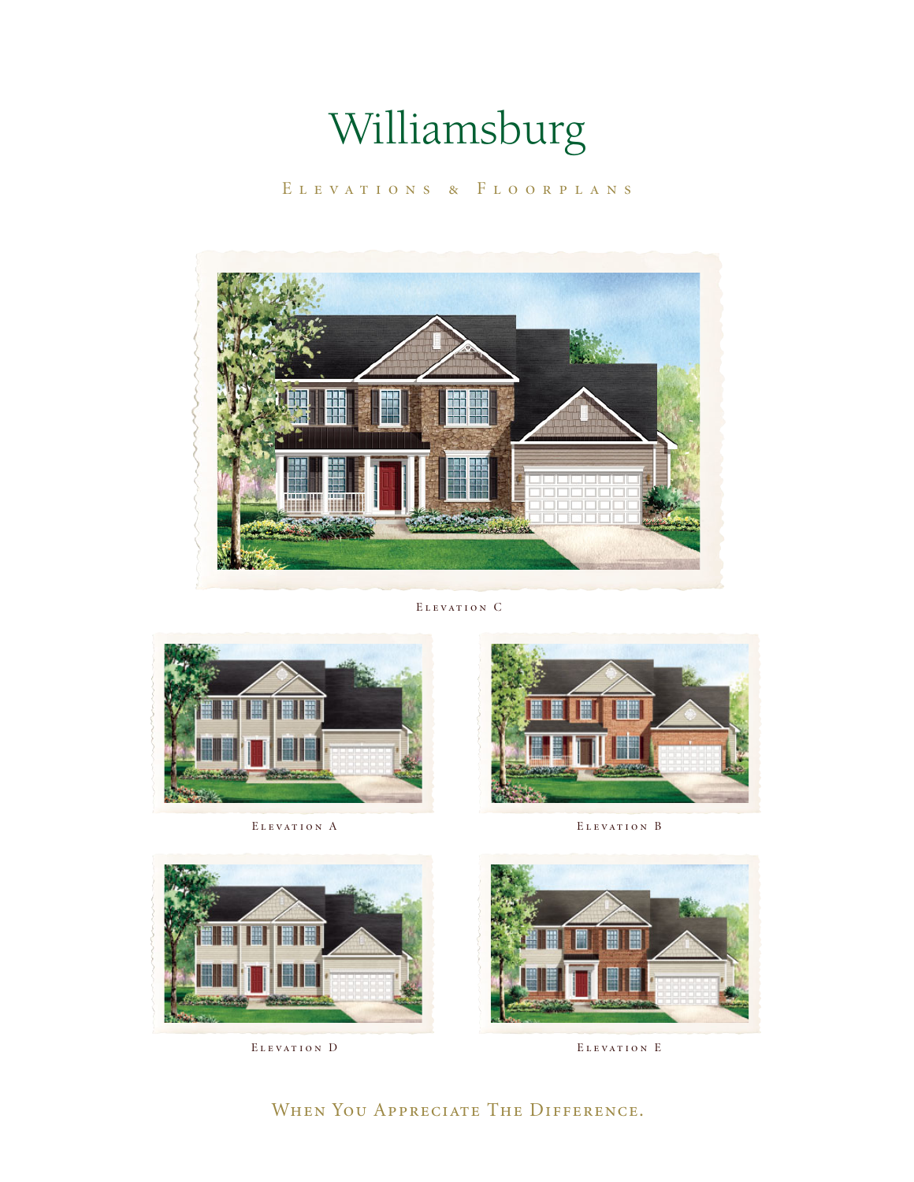Elevations & Floorplans



Elevation C





ELEVATION A ELEVATION B





ELEVATION D **ELEVATION E** 

#### WHEN YOU APPRECIATE THE DIFFERENCE.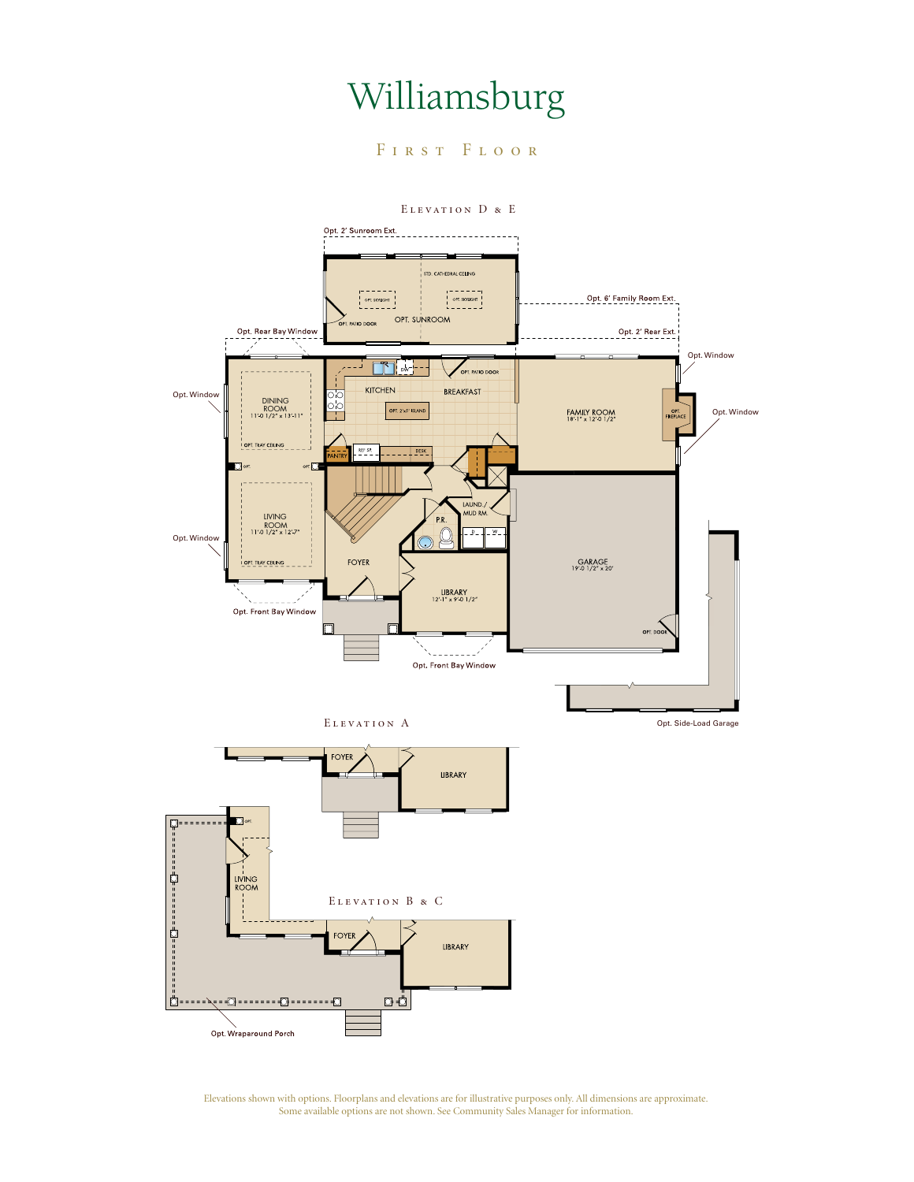FIRST FLOOR

Elevation D & E



Elevations shown with options. Floorplans and elevations are for illustrative purposes only. All dimensions are approximate. Some available options are not shown. See Community Sales Manager for information.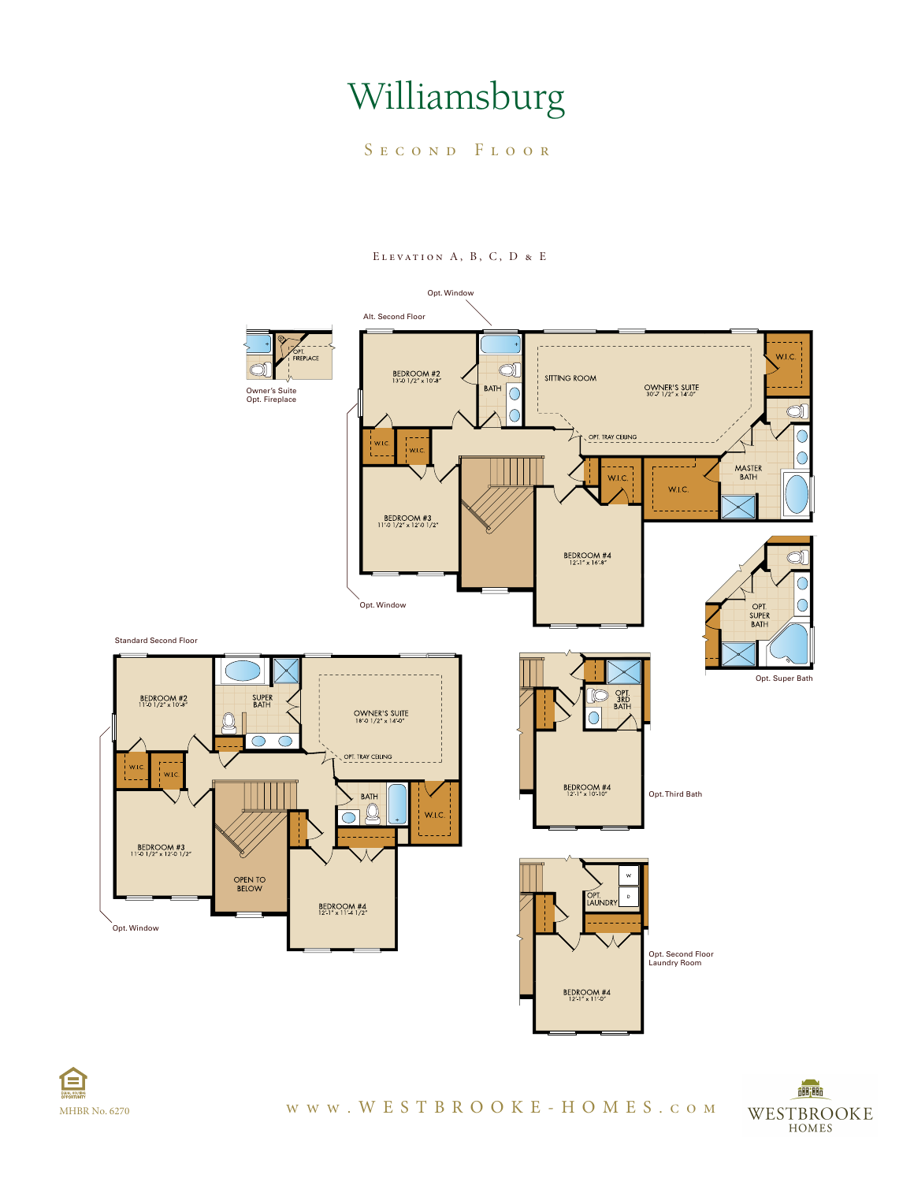SECOND FLOOR



Elevation A, B, C, D & E